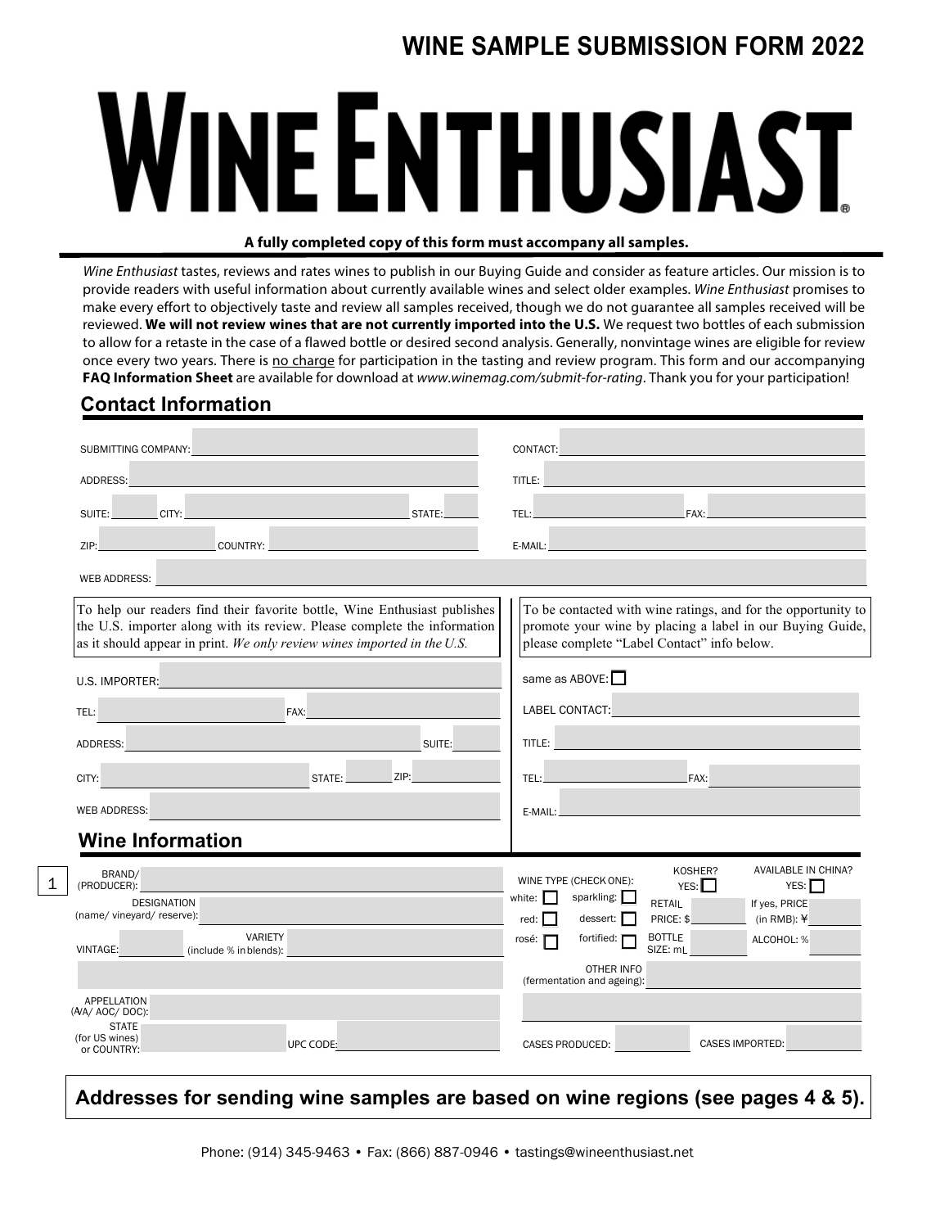# **WINE SAMPLE SUBMISSION FORM 2022**

# **WINE ENTHUSIAST**

#### **A fully completed copy of this form must accompany all samples.**

*Wine Enthusiast* tastes, reviews and rates wines to publish in our Buying Guide and consider as feature articles. Our mission is to provide readers with useful information about currently available wines and select older examples. *Wine Enthusiast* promises to make every effort to objectively taste and review all samples received, though we do not guarantee all samples received will be reviewed. **We will not review wines that are not currently imported into the U.S.** We request two bottles of each submission to allow for a retaste in the case of a flawed bottle or desired second analysis. Generally, nonvintage wines are eligible for review once every two years. There is no charge for participation in the tasting and review program. This form and our accompanying **FAQ Information Sheet** are available for download at *www.winemag.com/submit-for-rating*. Thank you for your participation!

## **Contact Information**

1

| SUBMITTING COMPANY:                                                                                                                                                                                                                                  |                                                                                                                                                                                                                                                         |
|------------------------------------------------------------------------------------------------------------------------------------------------------------------------------------------------------------------------------------------------------|---------------------------------------------------------------------------------------------------------------------------------------------------------------------------------------------------------------------------------------------------------|
| ADDRESS:                                                                                                                                                                                                                                             | TITLE:                                                                                                                                                                                                                                                  |
| CLITY:<br>STATE:<br>SUITE:                                                                                                                                                                                                                           | <b>EXAMPLE 2004 PAX:</b><br>TEL:                                                                                                                                                                                                                        |
| COUNTRY: _<br>ZIP:                                                                                                                                                                                                                                   | $E-MAIL:$                                                                                                                                                                                                                                               |
| WEB ADDRESS:<br><u>and the second control of the second control of the second control of the second control of the second control of the second control of the second control of the second control of the second control of the second control </u> |                                                                                                                                                                                                                                                         |
| To help our readers find their favorite bottle, Wine Enthusiast publishes<br>the U.S. importer along with its review. Please complete the information<br>as it should appear in print. We only review wines imported in the U.S.                     | To be contacted with wine ratings, and for the opportunity to<br>promote your wine by placing a label in our Buying Guide,<br>please complete "Label Contact" info below.                                                                               |
| U.S. IMPORTER: We have a state of the state of the state of the state of the state of the state of the state of the state of the state of the state of the state of the state of the state of the state of the state of the st                       | same as ABOVE: $\Box$                                                                                                                                                                                                                                   |
| TEL:<br>FAX:                                                                                                                                                                                                                                         | <b>LABEL CONTACT:</b> And the contract of the contract of the contract of the contract of the contract of the contract of the contract of the contract of the contract of the contract of the contract of the contract of the contr                     |
| ADDRESS: AND ALL AND AND ALL AND AND ALL AND AND ALL AND AND ALL AND AND ALL AND AND ALL AND AND ALL AND ALL A<br>SUITE:                                                                                                                             | TITLE: A CONTRACTOR CONTRACTOR                                                                                                                                                                                                                          |
| STATE: __________ ZIP:<br>CITY:                                                                                                                                                                                                                      | TEL: THE CONTRACT OF STATE AND THE<br>$FAX$ :                                                                                                                                                                                                           |
| <b>WEB ADDRESS:</b>                                                                                                                                                                                                                                  | $E-MAIL:$                                                                                                                                                                                                                                               |
| <b>Wine Information</b>                                                                                                                                                                                                                              |                                                                                                                                                                                                                                                         |
| BRAND/<br>(PRODUCER):<br><b>DESIGNATION</b><br>(name/ vineyard/ reserve):<br><b>VARIETY</b>                                                                                                                                                          | KOSHER?<br><b>AVAILABLE IN CHINA?</b><br>WINE TYPE (CHECK ONE):<br>YES:<br>YES:<br>sparkling:<br>white: $\vert \vert$<br>RETAIL<br>If yes, PRICE<br>dessert:<br>PRICE: \$<br>(in RMB): $\angle$<br>$red:$ $\blacksquare$<br><b>BOTTLE</b><br>fortified: |
| VINTAGE: (include % in blends):                                                                                                                                                                                                                      | ALCOHOL: %<br>rosé:<br>SIZE: mL<br>OTHER INFO                                                                                                                                                                                                           |
|                                                                                                                                                                                                                                                      | (fermentation and ageing):                                                                                                                                                                                                                              |
| <b>APPELLATION</b><br>(A/A/ AOC/ DOC):                                                                                                                                                                                                               |                                                                                                                                                                                                                                                         |
| <b>STATE</b><br>(for US wines)<br>UPC CODE:<br>or COUNTRY:                                                                                                                                                                                           | <b>CASES IMPORTED:</b><br>CASES PRODUCED: A CASES PRODUCED:                                                                                                                                                                                             |

## **Addresses for sending wine samples are based on wine regions (see pages 4 & 5).**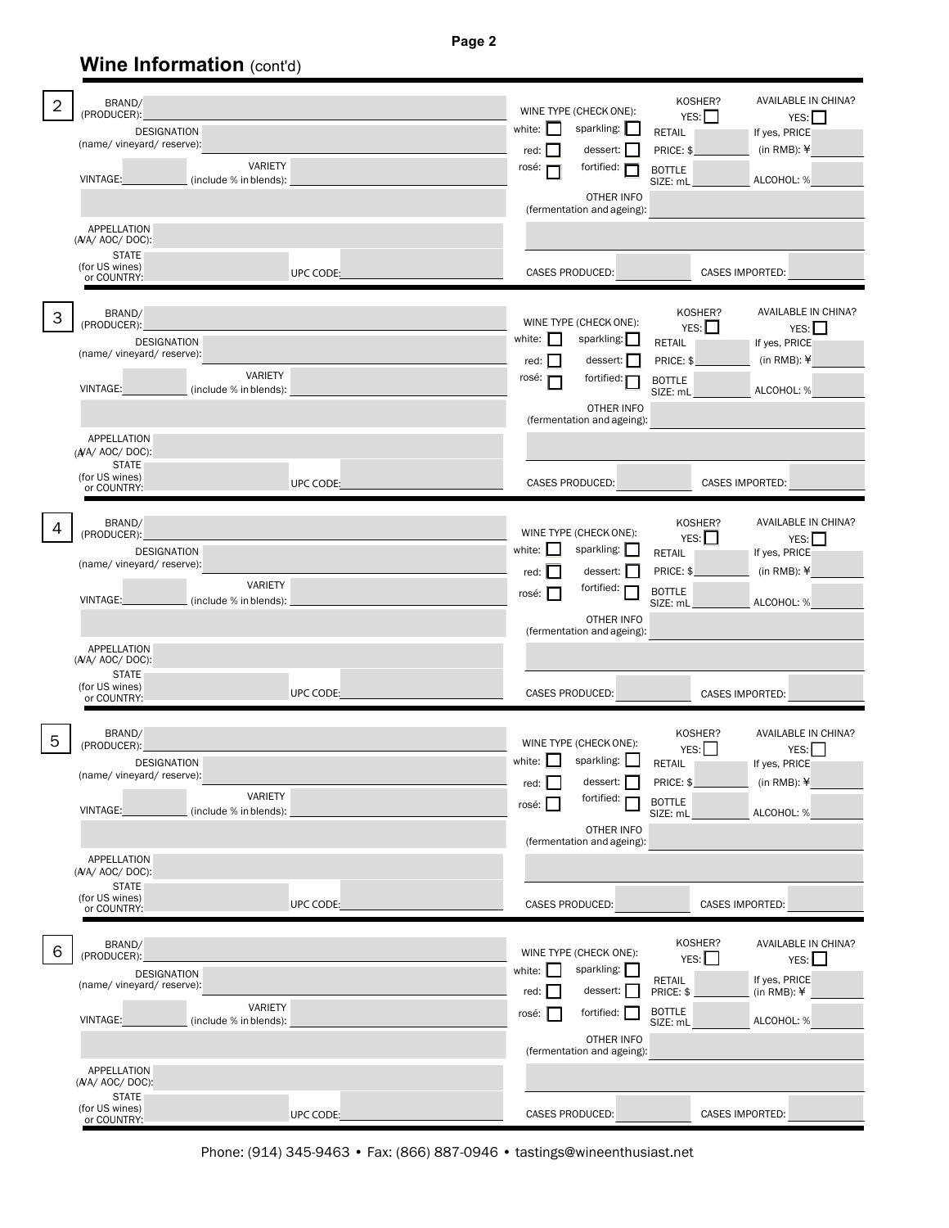**Page 2**

# **Wine Information (cont'd)**

| BRAND/<br>$\overline{2}$<br>(PRODUCER):<br><b>DESIGNATION</b><br>(name/ vineyard/ reserve):<br><b>VARIETY</b><br>VINTAGE:<br>(include % in blends):<br>APPELLATION          |           | WINE TYPE (CHECK ONE):<br>sparkling:  <br>white:<br>red:<br>dessert:<br>fortified: <b>F</b><br>rosé:<br>OTHER INFO<br>(fermentation and ageing):             | KOSHER?<br>AVAILABLE IN CHINA?<br>YES:<br>YES:<br>If yes, PRICE<br>RETAIL<br>(in RMB): $\angle$<br>PRICE: \$<br><b>BOTTLE</b><br>ALCOHOL: %<br>SIZE: mL        |
|-----------------------------------------------------------------------------------------------------------------------------------------------------------------------------|-----------|--------------------------------------------------------------------------------------------------------------------------------------------------------------|----------------------------------------------------------------------------------------------------------------------------------------------------------------|
| $(A/A)$ AOC/DOC):<br><b>STATE</b><br>(for US wines)<br>or COUNTRY:                                                                                                          | UPC CODE: | CASES PRODUCED:                                                                                                                                              | CASES IMPORTED:                                                                                                                                                |
| BRAND/<br>3<br>(PRODUCER):<br><b>DESIGNATION</b><br>(name/ vineyard/ reserve):<br>VARIETY<br>VINTAGE:<br>(include % in blends):                                             |           | WINE TYPE (CHECK ONE):<br>sparkling:<br>white: $\ $<br>dessert:  <br>red:<br>fortified: $\blacksquare$<br>rosé:<br>OTHER INFO                                | AVAILABLE IN CHINA?<br>KOSHER?<br>YES:<br>YES:<br>If yes, PRICE<br><b>RETAIL</b><br>(in RMB): $\angle$<br>PRICE: \$<br><b>BOTTLE</b><br>ALCOHOL: %<br>SIZE: mL |
| <b>APPELLATION</b><br>$(A/A)$ AOC/DOC):<br><b>STATE</b><br>(for US wines)<br>or COUNTRY:                                                                                    | UPC CODE: | (fermentation and ageing):<br><b>CASES PRODUCED:</b>                                                                                                         | CASES IMPORTED:                                                                                                                                                |
| BRAND/<br>4<br>(PRODUCER):<br><b>DESIGNATION</b><br>(name/ vineyard/ reserve):<br>VARIETY<br>VINTAGE:<br>(include % in blends):<br><b>APPELLATION</b><br>$(NA/ AOC/ DOC)$ : |           | WINE TYPE (CHECK ONE):<br>sparkling:<br>white:<br>dessert:  <br>$red:$ $\blacksquare$<br>fortified:<br>rosé:    <br>OTHER INFO<br>(fermentation and ageing): | AVAILABLE IN CHINA?<br>KOSHER?<br>YES:<br>YES:  <br>If yes, PRICE<br>RETAIL<br>(in RMB): $\angle$<br>PRICE: \$<br><b>BOTTLE</b><br>ALCOHOL: %<br>SIZE: mL      |
| <b>STATE</b><br>(for US wines)<br>or COUNTRY:                                                                                                                               | UPC CODE: | CASES PRODUCED:                                                                                                                                              | <b>CASES IMPORTED:</b>                                                                                                                                         |
| BRAND/<br>5<br>(PRODUCER):<br><b>DESIGNATION</b><br>(name/ vineyard/ reserve):<br>VARIETY<br><b>VINTAGE:</b><br>(include % in blends):                                      |           | WINE TYPE (CHECK ONE):<br>sparkling:<br>white: $\Box$<br>$red:$ $\Box$ dessert: $\Box$<br>fortified:<br>rosé: I<br>OTHER INFO<br>(fermentation and ageing):  | AVAILABLE IN CHINA?<br>KOSHER?<br>YES:<br>YES:<br>If yes, PRICE<br>RETAIL<br>(in RMB): $\angle$<br>PRICE: \$<br><b>BOTTLE</b><br>SIZE: mL<br>ALCOHOL: %        |
| <b>APPELLATION</b><br>(A/A/ AOC/ DOC):<br><b>STATE</b><br>(for US wines)<br>or COUNTRY:                                                                                     | UPC CODE: | CASES PRODUCED:                                                                                                                                              | CASES IMPORTED:                                                                                                                                                |
| BRAND/<br>6<br>(PRODUCER):<br><b>DESIGNATION</b><br>(name/ vineyard/ reserve):<br>VARIETY<br><b>VINTAGE:</b><br>(include % in blends):                                      |           | WINE TYPE (CHECK ONE):<br>sparkling:<br>white:<br>dessert:<br>red:<br>fortified:<br>rosé:<br>OTHER INFO<br>(fermentation and ageing):                        | KOSHER?<br>AVAILABLE IN CHINA?<br>YES:<br>YES:<br>If yes, PRICE<br><b>RETAIL</b><br>$(in RMB):$ $*$<br>PRICE: \$<br><b>BOTTLE</b><br>ALCOHOL: %<br>SIZE: mL    |
| <b>APPELLATION</b><br>(A/A/ AOC/ DOC):<br><b>STATE</b><br>(for US wines)<br>or COUNTRY:                                                                                     | UPC CODE: | CASES PRODUCED:                                                                                                                                              | CASES IMPORTED:                                                                                                                                                |

Phone: (914) 345-9463 • Fax: (866) 887-0946 • tastings@wineenthusiast.net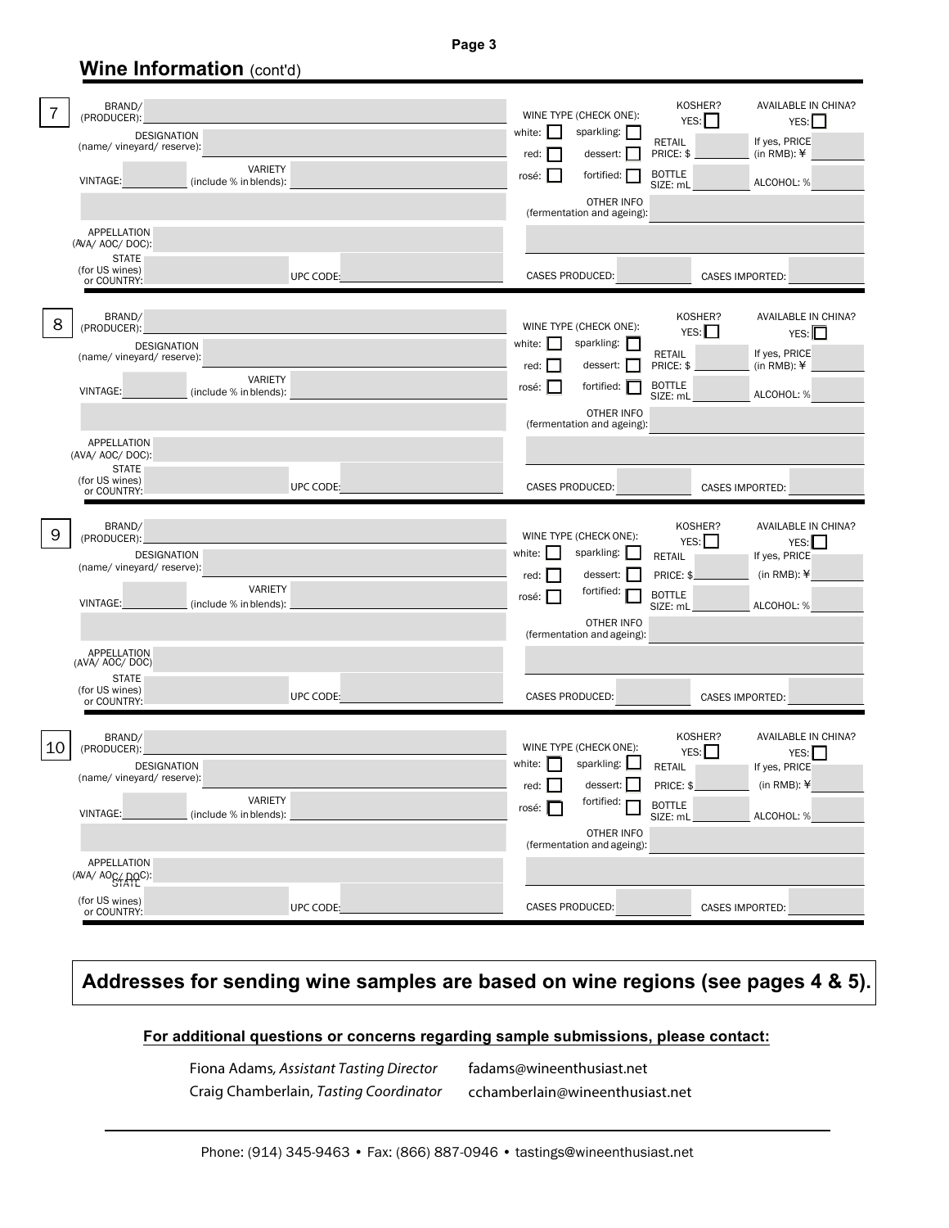**Page 3**

## **Wine Information** (cont'd)

| 7  | BRAND/<br>(PRODUCER):<br><b>DESIGNATION</b><br>(name/ vineyard/ reserve):<br>VARIETY<br>VINTAGE:<br>(include % in blends):<br>APPELLATION                           | KOSHER?<br>AVAILABLE IN CHINA?<br>WINE TYPE (CHECK ONE):<br>YES:<br>YES:<br>sparkling:  <br>white:<br>If yes, PRICE<br>RETAIL<br>(in RMB): $\angle$<br>dessert:  <br>PRICE: \$<br>red:<br><b>BOTTLE</b><br>fortified:  <br>rosé:<br>ALCOHOL: %<br>SIZE: mL<br>OTHER INFO<br>(fermentation and ageing):                |
|----|---------------------------------------------------------------------------------------------------------------------------------------------------------------------|-----------------------------------------------------------------------------------------------------------------------------------------------------------------------------------------------------------------------------------------------------------------------------------------------------------------------|
|    | (AVA/ AOC/ DOC):<br><b>STATE</b><br>(for US wines)<br>UPC CODE:<br>or COUNTRY:                                                                                      | CASES PRODUCED:<br>CASES IMPORTED:                                                                                                                                                                                                                                                                                    |
| 8  | BRAND/<br>(PRODUCER):<br><b>DESIGNATION</b><br>(name/ vineyard/ reserve):<br>VARIETY<br>VINTAGE:<br>(include % in blends):<br>APPELLATION                           | KOSHER?<br>AVAILABLE IN CHINA?<br>WINE TYPE (CHECK ONE):<br>YES: I<br>YES:<br>sparkling:<br>white:<br>If yes, PRICE<br>RETAIL<br>(in RMB): $\angle$<br>PRICE: \$<br>red:<br>dessert:<br><b>BOTTLE</b><br>fortified:<br>rosé:<br>ALCOHOL: %<br>SIZE: mL<br>OTHER INFO<br>(fermentation and ageing):                    |
|    | (AVA/ AOC/ DOC):<br><b>STATE</b><br>(for US wines)<br>UPC CODE:<br>or COUNTRY:                                                                                      | CASES PRODUCED:<br><b>CASES IMPORTED:</b>                                                                                                                                                                                                                                                                             |
| 9  | BRAND/<br>(PRODUCER):<br><b>DESIGNATION</b><br>(name/ vineyard/ reserve):<br>VARIETY<br>VINTAGE:<br>(include % in blends):<br><b>APPELLATION</b><br>(AVA/ AOC/ DOC) | AVAILABLE IN CHINA?<br>KOSHER?<br>WINE TYPE (CHECK ONE):<br>YES:<br>YES:<br>white:<br>sparkling:<br><b>RETAIL</b><br>If yes, PRICE<br>(in RMB): $\angle$<br>dessert:<br>PRICE: \$<br>red:<br>fortified:<br><b>BOTTLE</b><br>rosé:  <br>ALCOHOL: %<br>SIZE: mL<br>OTHER INFO<br>(fermentation and ageing):             |
|    | <b>STATE</b><br>(for US wines)<br>UPC CODE:<br>or COUNTRY:                                                                                                          | <b>CASES PRODUCED:</b><br>CASES IMPORTED:                                                                                                                                                                                                                                                                             |
| 10 | BRAND/<br>(PRODUCER):<br><b>DESIGNATION</b><br>(name/ vineyard/ reserve):<br>VARIETY<br>VINTAGE:<br>(include % in blends):<br>APPELLATION                           | AVAILABLE IN CHINA?<br>KOSHER?<br>WINE TYPE (CHECK ONE):<br>YES:<br>YES:<br>sparkling:<br>white: $\ $<br>RETAIL<br>If yes, PRICE<br>red: $\Box$<br>dessert: $\Box$<br>(in RMB): $\angle$<br>PRICE: \$<br>fortified:<br><b>BOTTLE</b><br>rosé:  <br>ALCOHOL: %<br>SIZE: mL<br>OTHER INFO<br>(fermentation and ageing): |
|    | (AVA/ AOC/ DOC):<br>(for US wines)<br>UPC CODE:<br>or COUNTRY:                                                                                                      | CASES PRODUCED:<br>CASES IMPORTED:                                                                                                                                                                                                                                                                                    |

## **Addresses for sending wine samples are based on wine regions (see pages 4 & 5).**

#### **For additional questions or concerns regarding sample submissions, please contact:**

Fiona Adams, Assistant Tasting Director Craig Chamberlain, Tasting Coordinator fadams@wineenthusiast.net cchamberlain@wineenthusiast.net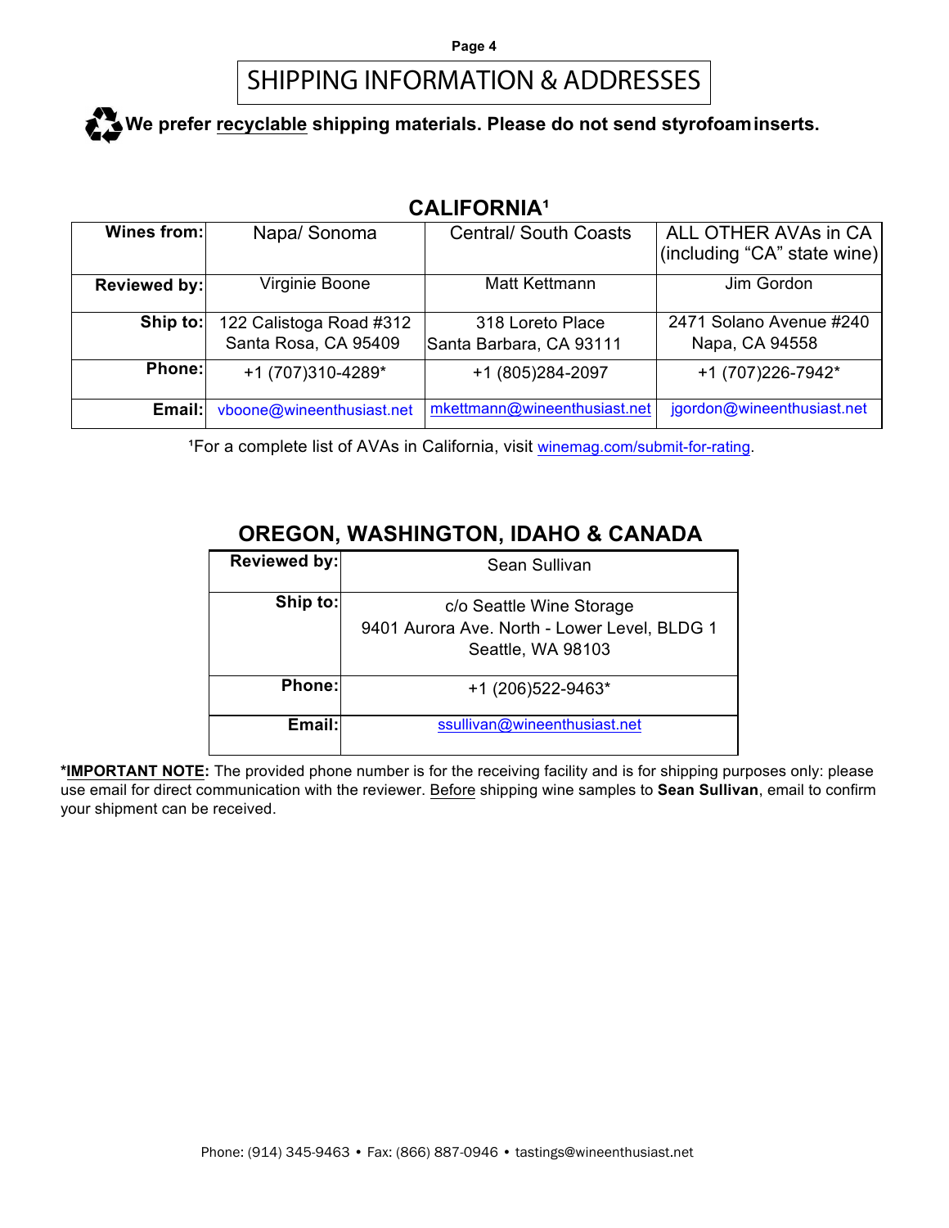# SHIPPING INFORMATION & ADDRESSES

# We prefer recyclable shipping materials. Please do not send styrofoam inserts.

## **CALIFORNIA¹**

| Wines from:   | Napa/ Sonoma                                    | <b>Central/ South Coasts</b>                | ALL OTHER AVAs in CA<br>(including "CA" state wine) |
|---------------|-------------------------------------------------|---------------------------------------------|-----------------------------------------------------|
| Reviewed by:  | Virginie Boone                                  | Matt Kettmann                               | Jim Gordon                                          |
| Ship to:      | 122 Calistoga Road #312<br>Santa Rosa, CA 95409 | 318 Loreto Place<br>Santa Barbara, CA 93111 | 2471 Solano Avenue #240<br>Napa, CA 94558           |
| <b>Phone:</b> | +1 (707)310-4289*                               | +1 (805)284-2097                            | +1 (707)226-7942*                                   |
| Email:        | vboone@wineenthusiast.net                       | mkettmann@wineenthusiast.net                | jgordon@wineenthusiast.net                          |

<sup>1</sup>For a complete list of AVAs in California, visit winemag.com/submit-for-rating.

## **OREGON, WASHINGTON, IDAHO & CANADA**

| Reviewed by: | Sean Sullivan                                                                                 |
|--------------|-----------------------------------------------------------------------------------------------|
| Ship to:     | c/o Seattle Wine Storage<br>9401 Aurora Ave. North - Lower Level, BLDG 1<br>Seattle, WA 98103 |
| Phone:       | +1 (206) 522-9463*                                                                            |
| Email:       | ssullivan@wineenthusiast.net                                                                  |

**\*IMPORTANT NOTE:** The provided phone number is for the receiving facility and is for shipping purposes only: please use email for direct communication with the reviewer. Before shipping wine samples to **Sean Sullivan**, email to confirm your shipment can be received.